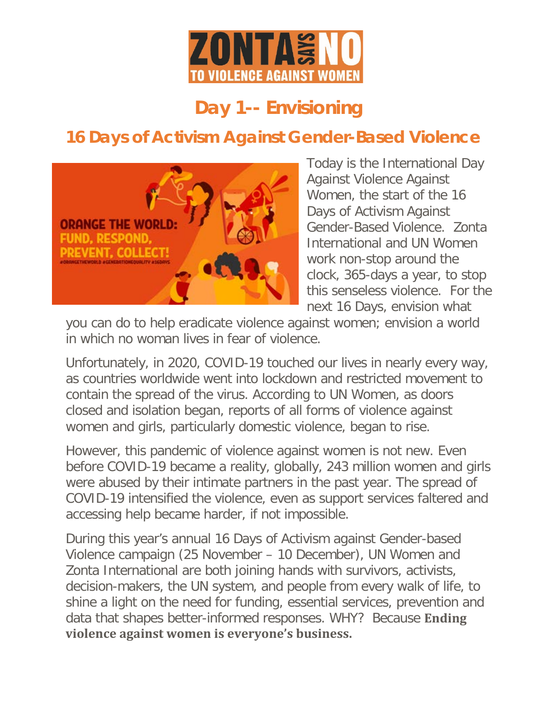

## **Day 1-- Envisioning**

## **16 Days of Activism Against Gender-Based Violence**



Today is the International Day Against Violence Against Women, the start of the 16 Days of Activism Against Gender-Based Violence. Zonta International and UN Women work non-stop around the clock, 365-days a year, to stop this senseless violence. For the next 16 Days, envision what

you can do to help eradicate violence against women; envision a world in which no woman lives in fear of violence.

Unfortunately, in 2020, COVID-19 touched our lives in nearly every way, as countries worldwide went into lockdown and restricted movement to contain the spread of the virus. According to UN Women, as doors closed and isolation began, reports of all forms of violence against women and girls, particularly domestic violence, began to rise.

However, this pandemic of violence against women is not new. Even before COVID-19 became a reality, globally, 243 million women and girls were abused by their intimate partners in the past year. The spread of COVID-19 intensified the violence, even as support services faltered and accessing help became harder, if not impossible.

During this year's annual 16 Days of Activism against Gender-based Violence campaign (25 November – 10 December), UN Women and Zonta International are both joining hands with survivors, activists, decision-makers, the UN system, and people from every walk of life, to shine a light on the need for funding, essential services, prevention and data that shapes better-informed responses. WHY? Because **Ending violence against women is everyone's business.**